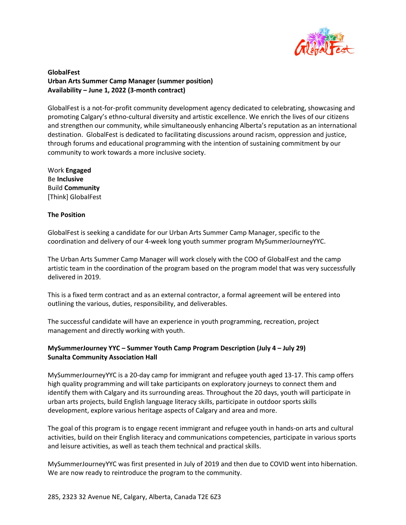

# **GlobalFest Urban Arts Summer Camp Manager (summer position) Availability – June 1, 2022 (3-month contract)**

GlobalFest is a not-for-profit community development agency dedicated to celebrating, showcasing and promoting Calgary's ethno-cultural diversity and artistic excellence. We enrich the lives of our citizens and strengthen our community, while simultaneously enhancing Alberta's reputation as an international destination. GlobalFest is dedicated to facilitating discussions around racism, oppression and justice, through forums and educational programming with the intention of sustaining commitment by our community to work towards a more inclusive society.

Work **Engaged** Be **Inclusive** Build **Community** [Think] GlobalFest

## **The Position**

GlobalFest is seeking a candidate for our Urban Arts Summer Camp Manager, specific to the coordination and delivery of our 4-week long youth summer program MySummerJourneyYYC.

The Urban Arts Summer Camp Manager will work closely with the COO of GlobalFest and the camp artistic team in the coordination of the program based on the program model that was very successfully delivered in 2019.

This is a fixed term contract and as an external contractor, a formal agreement will be entered into outlining the various, duties, responsibility, and deliverables.

The successful candidate will have an experience in youth programming, recreation, project management and directly working with youth.

# **MySummerJourney YYC – Summer Youth Camp Program Description (July 4 – July 29) Sunalta Community Association Hall**

MySummerJourneyYYC is a 20-day camp for immigrant and refugee youth aged 13-17. This camp offers high quality programming and will take participants on exploratory journeys to connect them and identify them with Calgary and its surrounding areas. Throughout the 20 days, youth will participate in urban arts projects, build English language literacy skills, participate in outdoor sports skills development, explore various heritage aspects of Calgary and area and more.

The goal of this program is to engage recent immigrant and refugee youth in hands-on arts and cultural activities, build on their English literacy and communications competencies, participate in various sports and leisure activities, as well as teach them technical and practical skills.

MySummerJourneyYYC was first presented in July of 2019 and then due to COVID went into hibernation. We are now ready to reintroduce the program to the community.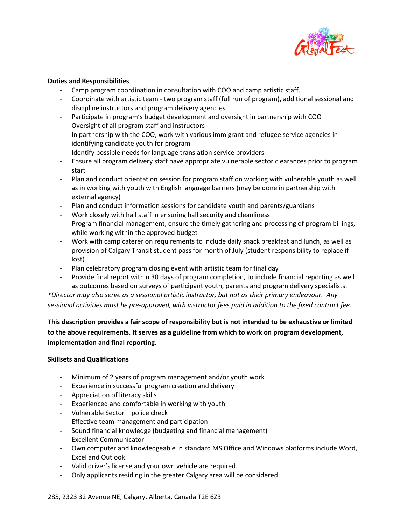

#### **Duties and Responsibilities**

- Camp program coordination in consultation with COO and camp artistic staff.
- Coordinate with artistic team two program staff (full run of program), additional sessional and discipline instructors and program delivery agencies
- Participate in program's budget development and oversight in partnership with COO
- Oversight of all program staff and instructors
- In partnership with the COO, work with various immigrant and refugee service agencies in identifying candidate youth for program
- Identify possible needs for language translation service providers
- Ensure all program delivery staff have appropriate vulnerable sector clearances prior to program start
- Plan and conduct orientation session for program staff on working with vulnerable youth as well as in working with youth with English language barriers (may be done in partnership with external agency)
- Plan and conduct information sessions for candidate youth and parents/guardians
- Work closely with hall staff in ensuring hall security and cleanliness
- Program financial management, ensure the timely gathering and processing of program billings, while working within the approved budget
- Work with camp caterer on requirements to include daily snack breakfast and lunch, as well as provision of Calgary Transit student pass for month of July (student responsibility to replace if lost)
- Plan celebratory program closing event with artistic team for final day
- Provide final report within 30 days of program completion, to include financial reporting as well as outcomes based on surveys of participant youth, parents and program delivery specialists.

*\*Director may also serve as a sessional artistic instructor, but not as their primary endeavour. Any sessional activities must be pre-approved, with instructor fees paid in addition to the fixed contract fee.*

**This description provides a fair scope of responsibility but is not intended to be exhaustive or limited to the above requirements. It serves as a guideline from which to work on program development, implementation and final reporting.**

## **Skillsets and Qualifications**

- Minimum of 2 years of program management and/or youth work
- Experience in successful program creation and delivery
- Appreciation of literacy skills
- Experienced and comfortable in working with youth
- Vulnerable Sector police check
- Effective team management and participation
- Sound financial knowledge (budgeting and financial management)
- Excellent Communicator
- Own computer and knowledgeable in standard MS Office and Windows platforms include Word, Excel and Outlook
- Valid driver's license and your own vehicle are required.
- Only applicants residing in the greater Calgary area will be considered.